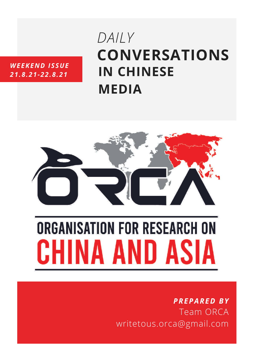#### *WEEKEND ISSUE 21.8.21-22.8.21*

# **CONVERSATIONS IN CHINESE MEDIA** *DAILY*



# **ORGANISATION FOR RESEARCH ON** CHINA AND ASIA

# *PREPARED BY* Team ORCA writetous.orca@gmail.com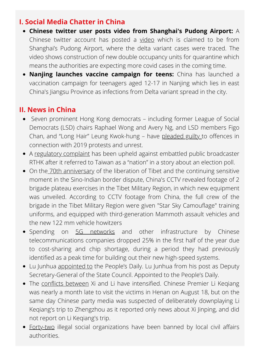### **I. Social Media Chatter in China**

- **Chinese twitter user posts video from Shanghai's Pudong Airport:** A Chinese twitter account has posted a [video](https://twitter.com/tw_tomy_/status/1428972460590833664) which is claimed to be from Shanghai's Pudong Airport, where the delta variant cases were traced. The video shows construction of new double occupancy units for quarantine which means the authorities are expecting more covid cases in the coming time.
- **Nanjing launches vaccine campaign for teens:** China has launched a vaccination campaign for teenagers aged 12-17 in Nanjing which lies in east China's Jiangsu Province as infections from Delta variant spread in the city.

## **II. News in China**

- Seven prominent Hong Kong democrats including former League of Social Democrats (LSD) chairs Raphael Wong and Avery Ng, and LSD members Figo Chan, and "Long Hair" Leung Kwok-hung – have [pleaded](https://hongkongfp.com/2021/08/20/7-hong-kong-democrats-plead-guilty-to-offences-linked-to-2019-protests/) guilty to offences in connection with 2019 protests and unrest.
- A [regulatory](https://hongkongfp.com/2021/08/20/taiwan-is-not-a-country-hong-kong-regulator-raps-broadcaster-rthk-for-referring-to-nation-in-election-story/) complaint has been upheld against embattled public broadcaster RTHK after it referred to Taiwan as a "nation" in a story about an election poll.
- On the 70th [anniversary](https://www.dwnews.com/%E4%B8%AD%E5%9B%BD/60257457/%E8%A5%BF%E8%97%8F%E8%A7%A3%E6%94%BE70%E5%B9%B4%E8%A7%A3%E6%94%BE%E5%86%9B%E9%A9%BB%E8%97%8F%E9%83%A8%E9%98%9F%E9%AB%98%E7%B2%BE%E5%B0%96%E6%AD%A6%E5%99%A8%E5%AE%9E%E5%BC%B9%E6%B5%8B%E8%AF%95%E5%9B%BE) of the liberation of Tibet and the continuing sensitive moment in the Sino-Indian border dispute, China's CCTV revealed footage of 2 brigade plateau exercises in the Tibet Military Region, in which new equipment was unveiled. According to CCTV footage from China, the full crew of the brigade in the Tibet Military Region were given "Star Sky Camouflage" training uniforms, and equipped with third-generation Mammoth assault vehicles and the new 122 mm vehicle howitzers
- Spending on 5G [networks](https://asia.nikkei.com/Spotlight/5G-networks/Chinese-telecom-operators-cut-back-5G-network-construction) and other infrastructure by Chinese telecommunications companies dropped 25% in the first half of the year due to cost-sharing and chip shortage, during a period they had previously identified as a peak time for building out their new high-speed systems.
- Lu Junhua [appointed](https://news.bjd.com.cn/jzh/2021/08/19/155173t121.html) to the People's Daily. Lu Junhua from his post as Deputy Secretary-General of the State Council. Appointed to the People's Daily.
- The conflicts [between](https://www.wenxuecity.com/news/2021/08/19/10837103.html) Xi and Li have intensified. Chinese Premier Li Kegiang was nearly a month late to visit the victims in Henan on August 18, but on the same day Chinese party media was suspected of deliberately downplaying Li Keqiang's trip to Zhengzhou as it reported only news about Xi Jinping, and did not report on Li Keqiang's trip.
- [Forty-two](http://www.chinanews.com/gn/2021/08-20/9547793.shtml) illegal social organizations have been banned by local civil affairs authorities.